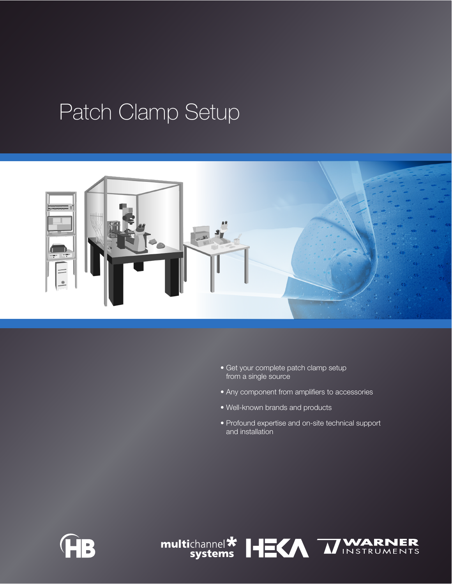## Patch Clamp Setup



- Get your complete patch clamp setup from a single source
- Any component from amplifiers to accessories
- Well-known brands and products
- Profound expertise and on-site technical support and installation



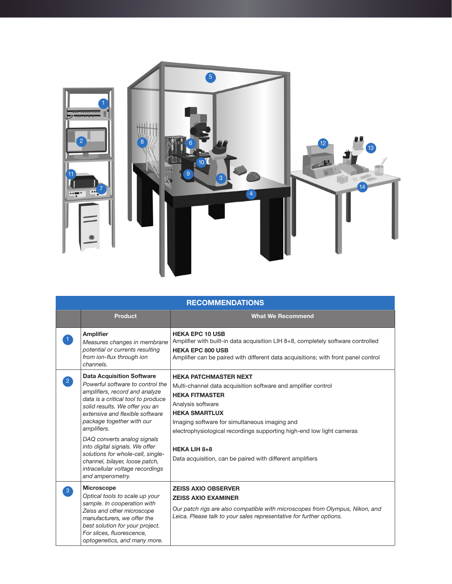

| <b>RECOMMENDATIONS</b> |                                                                                                                                                                                                                                                                                                                                                                                                                                                               |                                                                                                                                                                                                                                                                                                                                                                                   |  |
|------------------------|---------------------------------------------------------------------------------------------------------------------------------------------------------------------------------------------------------------------------------------------------------------------------------------------------------------------------------------------------------------------------------------------------------------------------------------------------------------|-----------------------------------------------------------------------------------------------------------------------------------------------------------------------------------------------------------------------------------------------------------------------------------------------------------------------------------------------------------------------------------|--|
|                        | <b>Product</b>                                                                                                                                                                                                                                                                                                                                                                                                                                                | <b>What We Recommend</b>                                                                                                                                                                                                                                                                                                                                                          |  |
|                        | <b>Amplifier</b><br>Measures changes in membrane<br>potential or currents resulting<br>from ion-flux through ion<br>channels.                                                                                                                                                                                                                                                                                                                                 | <b>HEKA EPC 10 USB</b><br>Amplifier with built-in data acquisition LIH 8+8, completely software controlled<br><b>HEKA EPC 800 USB</b><br>Amplifier can be paired with different data acquisitions; with front panel control                                                                                                                                                       |  |
| $\boxed{2}$            | <b>Data Acquisition Software</b><br>Powerful software to control the<br>amplifiers, record and analyze<br>data is a critical tool to produce<br>solid results. We offer you an<br>extensive and flexible software<br>package together with our<br>amplifiers.<br>DAQ converts analog signals<br>into digital signals. We offer<br>solutions for whole-cell, single-<br>channel, bilayer, loose patch,<br>intracellular voltage recordings<br>and amperometry. | <b>HEKA PATCHMASTER NEXT</b><br>Multi-channel data acquisition software and amplifier control<br><b>HEKA FITMASTER</b><br>Analysis software<br><b>HEKA SMARTLUX</b><br>Imaging software for simultaneous imaging and<br>electrophysiological recordings supporting high-end low light cameras<br><b>HEKA LIH 8+8</b><br>Data acquisition, can be paired with different amplifiers |  |
| $\lceil 3 \rceil$      | <b>Microscope</b><br>Optical tools to scale up your<br>sample. In cooperation with<br>Zeiss and other microscope<br>manufacturers, we offer the<br>best solution for your project.<br>For slices, fluorescence,<br>optogenetics, and many more.                                                                                                                                                                                                               | <b>ZEISS AXIO OBSERVER</b><br><b>ZEISS AXIO EXAMINER</b><br>Our patch rigs are also compatible with microscopes from Olympus, Nikon, and<br>Leica. Please talk to your sales representative for further options.                                                                                                                                                                  |  |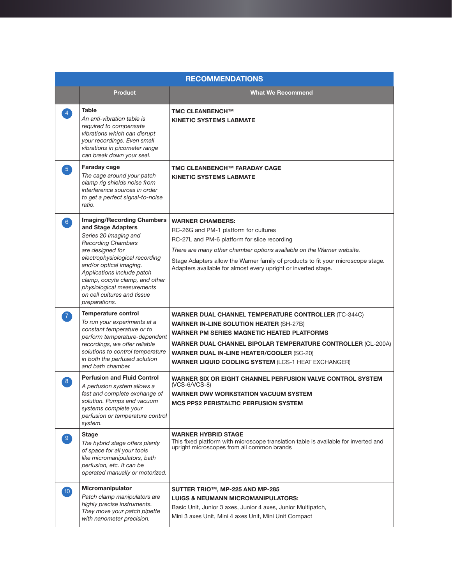| <b>RECOMMENDATIONS</b> |                                                                                                                                                                                                                                                                                                                                              |                                                                                                                                                                                                                                                                                                                                                      |  |
|------------------------|----------------------------------------------------------------------------------------------------------------------------------------------------------------------------------------------------------------------------------------------------------------------------------------------------------------------------------------------|------------------------------------------------------------------------------------------------------------------------------------------------------------------------------------------------------------------------------------------------------------------------------------------------------------------------------------------------------|--|
|                        | <b>Product</b>                                                                                                                                                                                                                                                                                                                               | <b>What We Recommend</b>                                                                                                                                                                                                                                                                                                                             |  |
|                        | <b>Table</b><br>An anti-vibration table is<br>required to compensate<br>vibrations which can disrupt<br>your recordings. Even small<br>vibrations in picometer range<br>can break down your seal.                                                                                                                                            | <b>TMC CLEANBENCH™</b><br><b>KINETIC SYSTEMS LABMATE</b>                                                                                                                                                                                                                                                                                             |  |
| $\sqrt{5}$             | Faraday cage<br>The cage around your patch<br>clamp rig shields noise from<br>interference sources in order<br>to get a perfect signal-to-noise<br>ratio.                                                                                                                                                                                    | TMC CLEANBENCH™ FARADAY CAGE<br><b>KINETIC SYSTEMS LABMATE</b>                                                                                                                                                                                                                                                                                       |  |
| $6^{\circ}$            | <b>Imaging/Recording Chambers</b><br>and Stage Adapters<br>Series 20 Imaging and<br><b>Recording Chambers</b><br>are designed for<br>electrophysiological recording<br>and/or optical imaging.<br>Applications include patch<br>clamp, oocyte clamp, and other<br>physiological measurements<br>on cell cultures and tissue<br>preparations. | <b>WARNER CHAMBERS:</b><br>RC-26G and PM-1 platform for cultures<br>RC-27L and PM-6 platform for slice recording<br>There are many other chamber options available on the Warner website.<br>Stage Adapters allow the Warner family of products to fit your microscope stage.<br>Adapters available for almost every upright or inverted stage.      |  |
|                        | Temperature control<br>To run your experiments at a<br>constant temperature or to<br>perform temperature-dependent<br>recordings, we offer reliable<br>solutions to control temperature<br>in both the perfused solution<br>and bath chamber.                                                                                                | <b>WARNER DUAL CHANNEL TEMPERATURE CONTROLLER (TC-344C)</b><br><b>WARNER IN-LINE SOLUTION HEATER (SH-27B)</b><br>WARNER PM SERIES MAGNETIC HEATED PLATFORMS<br><b>WARNER DUAL CHANNEL BIPOLAR TEMPERATURE CONTROLLER (CL-200A)</b><br><b>WARNER DUAL IN-LINE HEATER/COOLER (SC-20)</b><br><b>WARNER LIQUID COOLING SYSTEM (LCS-1 HEAT EXCHANGER)</b> |  |
| 8                      | <b>Perfusion and Fluid Control</b><br>A perfusion system allows a<br>fast and complete exchange of<br>solution. Pumps and vacuum<br>systems complete your<br>perfusion or temperature control<br>system.                                                                                                                                     | WARNER SIX OR EIGHT CHANNEL PERFUSION VALVE CONTROL SYSTEM<br>(VCS-6/VCS-8)<br><b>WARNER DWV WORKSTATION VACUUM SYSTEM</b><br><b>MCS PPS2 PERISTALTIC PERFUSION SYSTEM</b>                                                                                                                                                                           |  |
| 9 <sup>°</sup>         | <b>Stage</b><br>The hybrid stage offers plenty<br>of space for all your tools<br>like micromanipulators, bath<br>perfusion, etc. It can be<br>operated manually or motorized.                                                                                                                                                                | <b>WARNER HYBRID STAGE</b><br>This fixed platform with microscope translation table is available for inverted and<br>upright microscopes from all common brands                                                                                                                                                                                      |  |
| $10^{\circ}$           | Micromanipulator<br>Patch clamp manipulators are<br>highly precise instruments.<br>They move your patch pipette<br>with nanometer precision.                                                                                                                                                                                                 | SUTTER TRIO™, MP-225 AND MP-285<br><b>LUIGS &amp; NEUMANN MICROMANIPULATORS:</b><br>Basic Unit, Junior 3 axes, Junior 4 axes, Junior Multipatch,<br>Mini 3 axes Unit, Mini 4 axes Unit, Mini Unit Compact                                                                                                                                            |  |